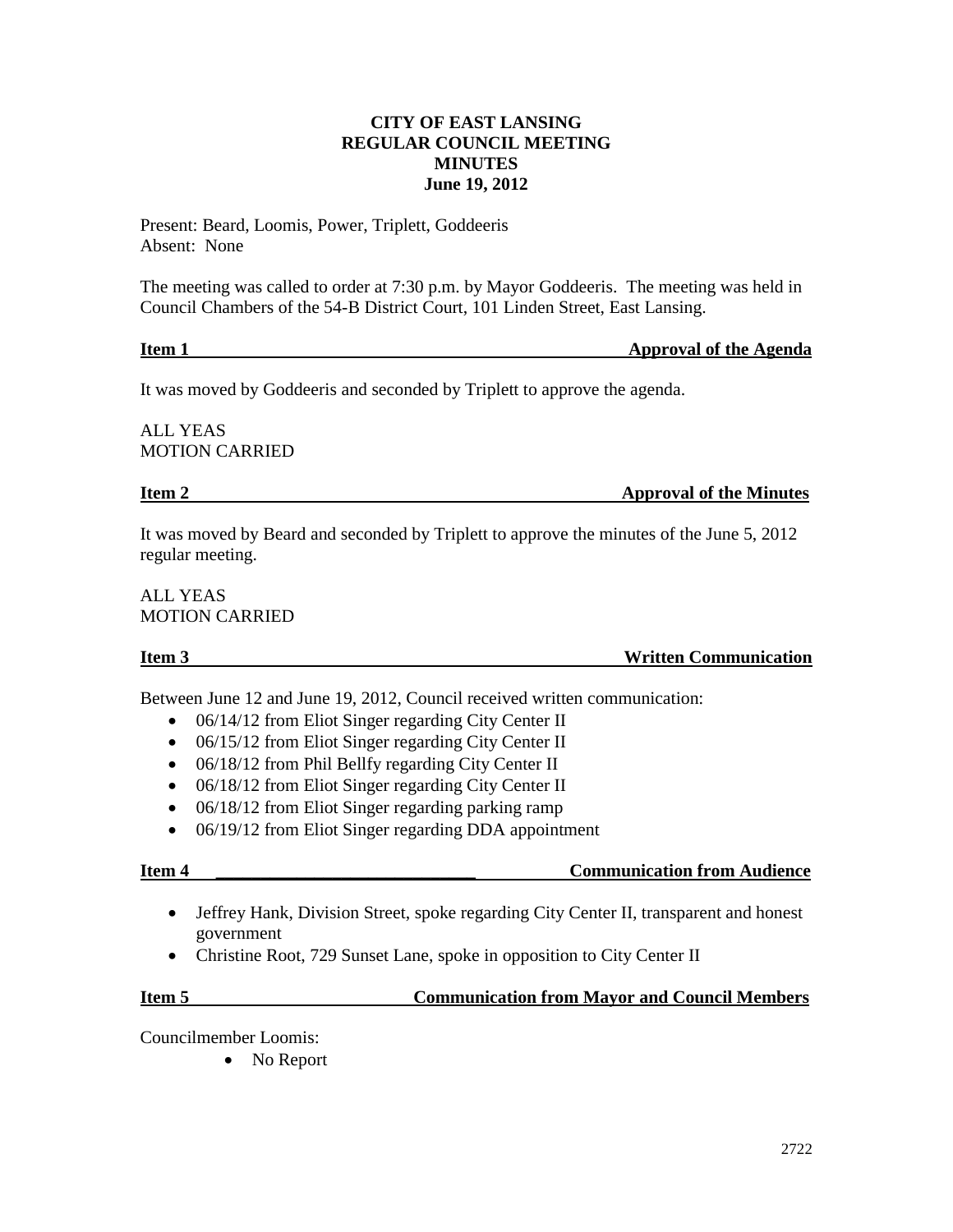## **CITY OF EAST LANSING REGULAR COUNCIL MEETING MINUTES June 19, 2012**

Present: Beard, Loomis, Power, Triplett, Goddeeris Absent: None

The meeting was called to order at 7:30 p.m. by Mayor Goddeeris. The meeting was held in Council Chambers of the 54-B District Court, 101 Linden Street, East Lansing.

# **Item 1** Approval of the Agenda

It was moved by Goddeeris and seconded by Triplett to approve the agenda.

ALL YEAS MOTION CARRIED

## **Item 2** Approval of the Minutes

It was moved by Beard and seconded by Triplett to approve the minutes of the June 5, 2012 regular meeting.

ALL YEAS MOTION CARRIED

### **Item 3** Written Communication

Between June 12 and June 19, 2012, Council received written communication:

- 06/14/12 from Eliot Singer regarding City Center II
- 06/15/12 from Eliot Singer regarding City Center II
- 06/18/12 from Phil Bellfy regarding City Center II
- 06/18/12 from Eliot Singer regarding City Center II
- 06/18/12 from Eliot Singer regarding parking ramp
- 06/19/12 from Eliot Singer regarding DDA appointment

## **Item 4 \_\_\_\_\_\_\_\_\_\_\_\_\_\_\_\_\_\_\_\_\_\_\_\_\_\_\_\_\_ Communication from Audience**

- Jeffrey Hank, Division Street, spoke regarding City Center II, transparent and honest government
- Christine Root, 729 Sunset Lane, spoke in opposition to City Center II

## **Item 5 Communication from Mayor and Council Members**

Councilmember Loomis:

• No Report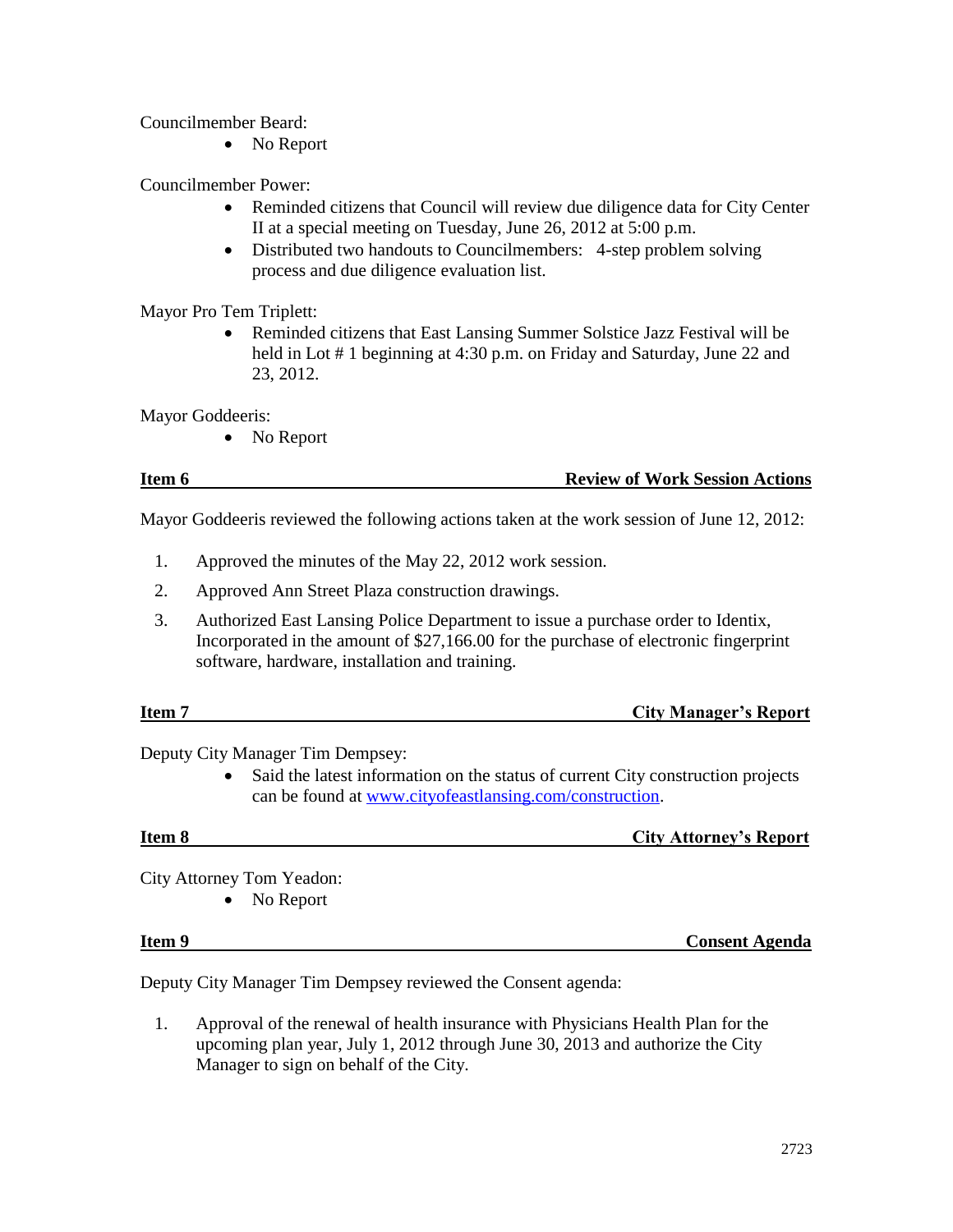Councilmember Beard:

• No Report

Councilmember Power:

- Reminded citizens that Council will review due diligence data for City Center II at a special meeting on Tuesday, June 26, 2012 at 5:00 p.m.
- Distributed two handouts to Councilmembers: 4-step problem solving process and due diligence evaluation list.

Mayor Pro Tem Triplett:

 Reminded citizens that East Lansing Summer Solstice Jazz Festival will be held in Lot # 1 beginning at 4:30 p.m. on Friday and Saturday, June 22 and 23, 2012.

Mayor Goddeeris:

• No Report

### **Item 6 <b>Review of Work Session Actions**

Mayor Goddeeris reviewed the following actions taken at the work session of June 12, 2012:

- 1. Approved the minutes of the May 22, 2012 work session.
- 2. Approved Ann Street Plaza construction drawings.
- 3. Authorized East Lansing Police Department to issue a purchase order to Identix, Incorporated in the amount of \$27,166.00 for the purchase of electronic fingerprint software, hardware, installation and training.

| Item <sub>7</sub> | <b>City Manager's Report</b> |
|-------------------|------------------------------|
|                   |                              |

Deputy City Manager Tim Dempsey:

• Said the latest information on the status of current City construction projects can be found at [www.cityofeastlansing.com/construction.](http://www.cityofeastlansing.com/construction)

**Item 8** City Attorney's Report

City Attorney Tom Yeadon:

• No Report

**Item 9 Consent Agenda**

Deputy City Manager Tim Dempsey reviewed the Consent agenda:

1. Approval of the renewal of health insurance with Physicians Health Plan for the upcoming plan year, July 1, 2012 through June 30, 2013 and authorize the City Manager to sign on behalf of the City.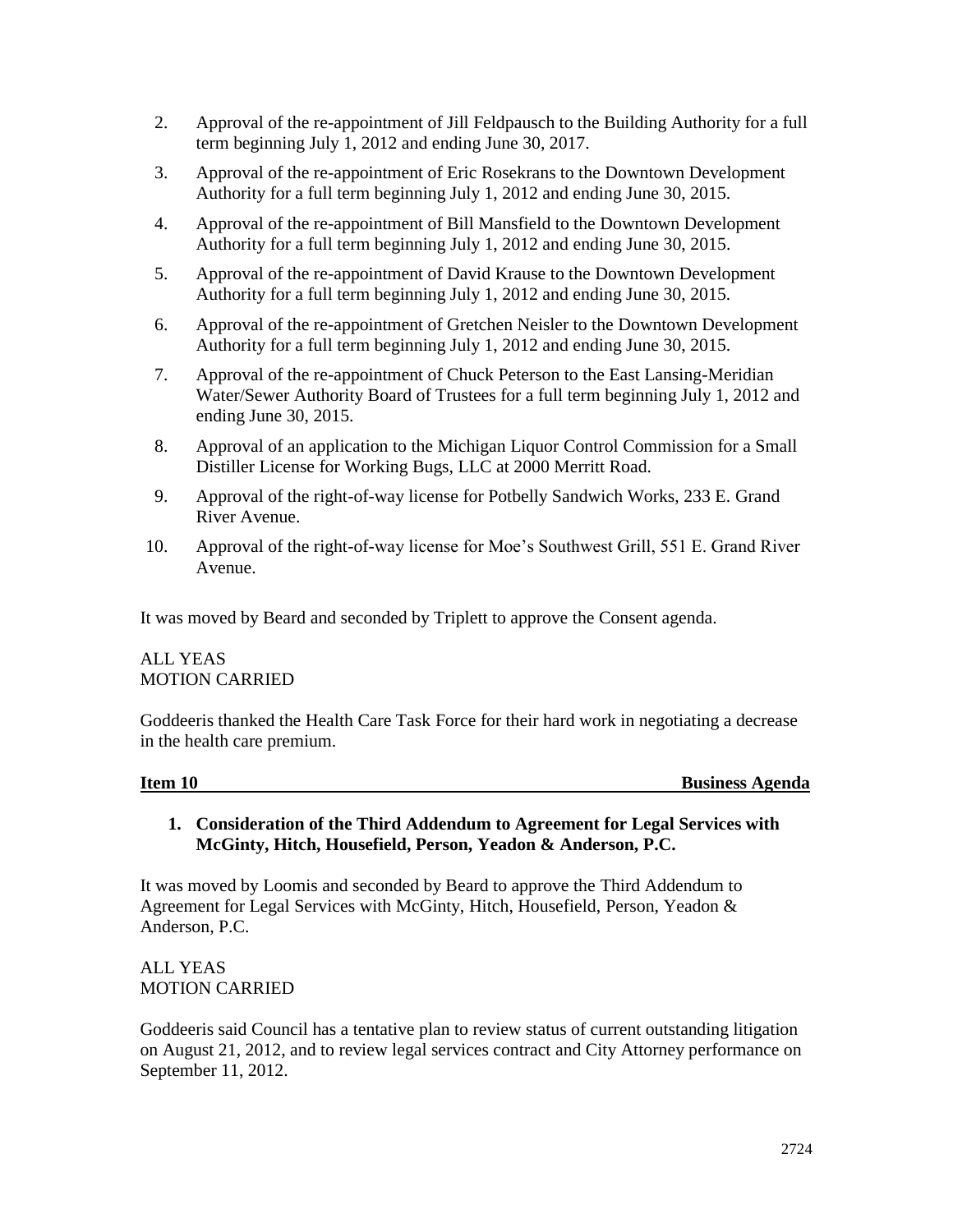- 2. Approval of the re-appointment of Jill Feldpausch to the Building Authority for a full term beginning July 1, 2012 and ending June 30, 2017.
- 3. Approval of the re-appointment of Eric Rosekrans to the Downtown Development Authority for a full term beginning July 1, 2012 and ending June 30, 2015.
- 4. Approval of the re-appointment of Bill Mansfield to the Downtown Development Authority for a full term beginning July 1, 2012 and ending June 30, 2015.
- 5. Approval of the re-appointment of David Krause to the Downtown Development Authority for a full term beginning July 1, 2012 and ending June 30, 2015.
- 6. Approval of the re-appointment of Gretchen Neisler to the Downtown Development Authority for a full term beginning July 1, 2012 and ending June 30, 2015.
- 7. Approval of the re-appointment of Chuck Peterson to the East Lansing-Meridian Water/Sewer Authority Board of Trustees for a full term beginning July 1, 2012 and ending June 30, 2015.
- 8. Approval of an application to the Michigan Liquor Control Commission for a Small Distiller License for Working Bugs, LLC at 2000 Merritt Road.
- 9. Approval of the right-of-way license for Potbelly Sandwich Works, 233 E. Grand River Avenue.
- 10. Approval of the right-of-way license for Moe's Southwest Grill, 551 E. Grand River Avenue.

It was moved by Beard and seconded by Triplett to approve the Consent agenda.

# ALL YEAS MOTION CARRIED

Goddeeris thanked the Health Care Task Force for their hard work in negotiating a decrease in the health care premium.

### **Item 10** Business Agenda

**1. Consideration of the Third Addendum to Agreement for Legal Services with McGinty, Hitch, Housefield, Person, Yeadon & Anderson, P.C.**

It was moved by Loomis and seconded by Beard to approve the Third Addendum to Agreement for Legal Services with McGinty, Hitch, Housefield, Person, Yeadon & Anderson, P.C.

ALL YEAS MOTION CARRIED

Goddeeris said Council has a tentative plan to review status of current outstanding litigation on August 21, 2012, and to review legal services contract and City Attorney performance on September 11, 2012.